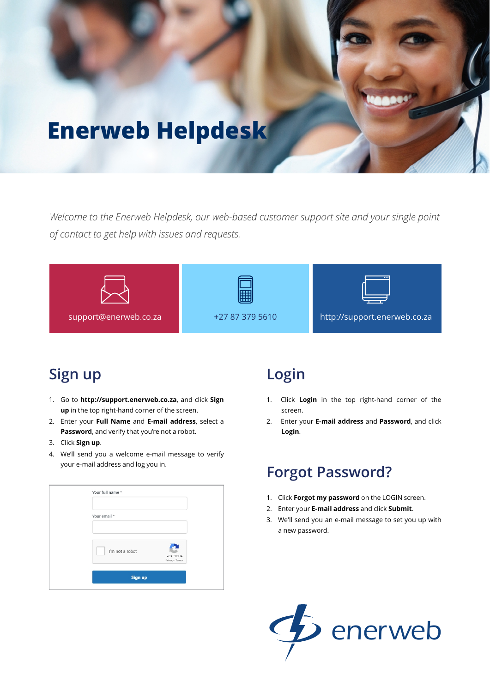# **Enerweb Helpdesk**

*Welcome to the Enerweb Helpdesk, our web-based customer support site and your single point of contact to get help with issues and requests.*



# **Sign up**

- 1. Go to **http://support.enerweb.co.za**, and click **Sign up** in the top right-hand corner of the screen.
- 2. Enter your **Full Name** and **E-mail address**, select a **Password**, and verify that you're not a robot.
- 3. Click **Sign up**.
- 4. We'll send you a welcome e-mail message to verify your e-mail address and log you in.

| Your email *    |                 |  |
|-----------------|-----------------|--|
|                 |                 |  |
| I'm not a robot | reCAPTCHA       |  |
|                 | Privacy - Terms |  |
| Sign up         |                 |  |

## **Login**

- 1. Click **Login** in the top right-hand corner of the screen.
- 2. Enter your **E-mail address** and **Password**, and click **Login**.

# **Forgot Password?**

- 1. Click **Forgot my password** on the LOGIN screen.
- 2. Enter your **E-mail address** and click **Submit**.
- 3. We'll send you an e-mail message to set you up with a new password.